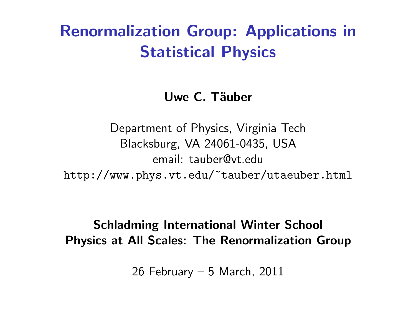# Renormalization Group: Applications in Statistical Physics

#### Uwe C. Täuber

Department of Physics, Virginia Tech Blacksburg, VA 24061-0435, USA email: tauber@vt.edu http://www.phys.vt.edu/~tauber/utaeuber.html

#### Schladming International Winter School Physics at All Scales: The Renormalization Group

26 February – 5 March, 2011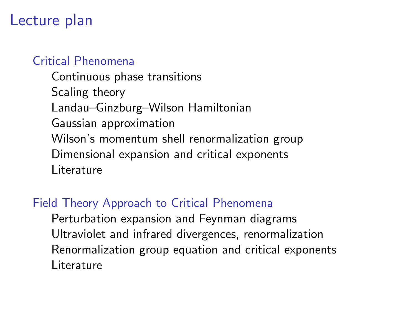## Lecture plan

#### [Critical Phenomena](#page-2-0)

[Continuous phase transitions](#page-3-0) [Scaling theory](#page-5-0) [Landau–Ginzburg–Wilson Hamiltonian](#page-8-0) [Gaussian approximation](#page-11-0) [Wilson's momentum shell renormalization group](#page-13-0) [Dimensional expansion and critical exponents](#page-17-0) [Literature](#page-22-0)

#### [Field Theory Approach to Critical Phenomena](#page-25-0)

[Perturbation expansion and Feynman diagrams](#page-26-0) [Ultraviolet and infrared divergences, renormalization](#page-29-0) [Renormalization group equation and critical exponents](#page-32-0) [Literature](#page-35-0)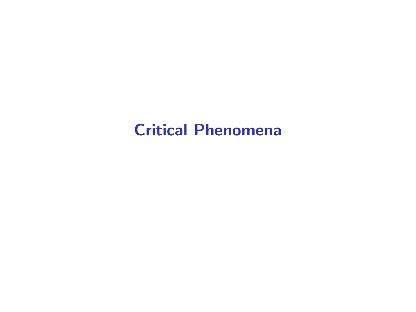# <span id="page-2-0"></span>[Critical Phenomena](#page-2-0)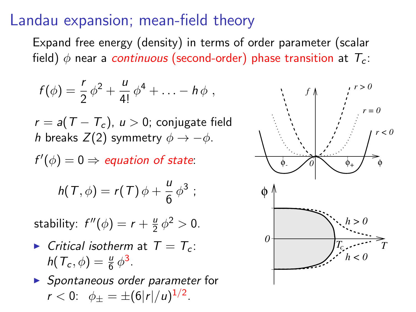### Landau expansion; mean-field theory

Expand free energy (density) in terms of order parameter (scalar field)  $\phi$  near a continuous (second-order) phase transition at  $T_c$ :

$$
f(\phi) = \frac{r}{2} \phi^2 + \frac{u}{4!} \phi^4 + \ldots - h \phi ,
$$

 $r = a(T - T_c)$ ,  $u > 0$ ; conjugate field h breaks  $Z(2)$  symmetry  $\phi \rightarrow -\phi$ .

 $f'(\phi) = 0 \Rightarrow$  equation of state:

$$
h(T,\phi)=r(T)\phi+\frac{u}{6}\phi^3;
$$

stability:  $f''(\phi) = r + \frac{\theta}{2}$  $\frac{u}{2} \phi^2 > 0.$ 

 $\triangleright$  Critical isotherm at  $T = T_c$ :  $h(T_c, \phi) = \frac{u}{6} \phi^3$ .

<span id="page-3-0"></span> $\triangleright$  Spontaneous order parameter for  $r < 0$ :  $\phi_{\pm} = \pm (6|r|/u)^{1/2}$ .

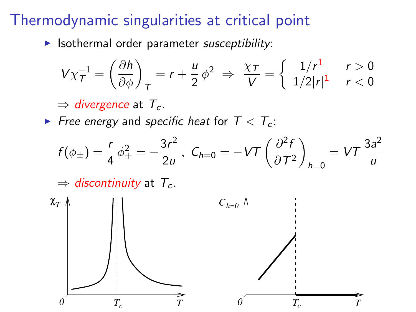## Thermodynamic singularities at critical point

 $\blacktriangleright$  Isothermal order parameter susceptibility:

$$
V\chi_T^{-1} = \left(\frac{\partial h}{\partial \phi}\right)_T = r + \frac{u}{2}\phi^2 \Rightarrow \frac{\chi_T}{V} = \left\{\begin{array}{cc} 1/r^1 & r > 0\\ 1/2|r|^1 & r < 0 \end{array}\right.
$$

 $\Rightarrow$  divergence at  $T_c$ .

Free energy and specific heat for  $T < T_c$ :

$$
f(\phi_{\pm}) = \frac{r}{4} \phi_{\pm}^2 = -\frac{3r^2}{2u}, \ C_{h=0} = -VT \left(\frac{\partial^2 f}{\partial T^2}\right)_{h=0} = VT \frac{3a^2}{u}
$$

 $\Rightarrow$  discontinuity at  $T_c$ .

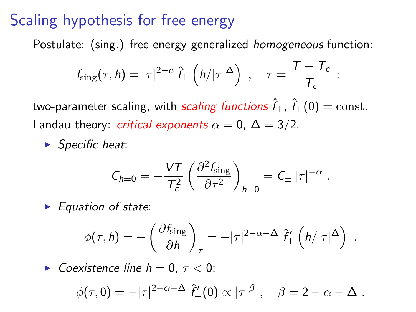## Scaling hypothesis for free energy

Postulate: (sing.) free energy generalized homogeneous function:

$$
f_{\text{sing}}(\tau, h) = |\tau|^{2-\alpha} \,\hat{f}_{\pm} \left( h/|\tau|^{\Delta} \right) , \quad \tau = \frac{T - T_c}{T_c} ;
$$

two-parameter scaling, with scaling functions  $\hat{f}_+$ ,  $\hat{f}_+(0) = \text{const.}$ Landau theory: *critical exponents*  $\alpha = 0$ ,  $\Delta = 3/2$ .

 $\blacktriangleright$  Specific heat:

$$
C_{h=0} = -\frac{VT}{T_c^2} \left( \frac{\partial^2 f_{\text{sing}}}{\partial \tau^2} \right)_{h=0} = C_{\pm} |\tau|^{-\alpha}
$$

.

 $\blacktriangleright$  Equation of state:

$$
\phi(\tau, h) = -\left(\frac{\partial f_{\rm sing}}{\partial h}\right)_\tau = -|\tau|^{2-\alpha-\Delta} \; \hat{f}'_{\pm}\left(h/|\tau|^{\Delta}\right) \; .
$$

<span id="page-5-0"></span> $\triangleright$  Coexistence line  $h = 0, \tau < 0$ :

$$
\phi(\tau,0) = -|\tau|^{2-\alpha-\Delta} \hat{f}'_-(0) \propto |\tau|^\beta \; , \quad \beta = 2-\alpha-\Delta \; .
$$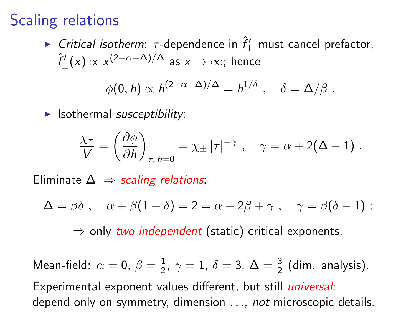# Scaling relations

► Critical isotherm:  $\tau$ -dependence in  $\hat{f}'_{\pm}$  must cancel prefactor,  $\hat{f}'_\pm(\mathsf{x}) \propto \mathsf{x}^{(2-\alpha-\Delta)/\Delta}$  as  $\mathsf{x} \to \infty$ ; hence

$$
\phi(0,h) \propto h^{(2-\alpha-\Delta)/\Delta} = h^{1/\delta} , \quad \delta = \Delta/\beta .
$$

 $\blacktriangleright$  Isothermal susceptibility:

$$
\frac{\chi_{\tau}}{V} = \left(\frac{\partial \phi}{\partial h}\right)_{\tau, h=0} = \chi_{\pm} |\tau|^{-\gamma} , \quad \gamma = \alpha + 2(\Delta - 1) .
$$

Eliminate  $\Delta \Rightarrow$  scaling relations:

$$
\Delta = \beta \delta \; , \quad \alpha + \beta (1 + \delta) = 2 = \alpha + 2\beta + \gamma \; , \quad \gamma = \beta (\delta - 1) \; ;
$$

 $\Rightarrow$  only two independent (static) critical exponents.

Mean-field:  $\alpha = 0, \ \beta = \frac{1}{2}$  $\frac{1}{2}$ ,  $\gamma = 1$ ,  $\delta = 3$ ,  $\Delta = \frac{3}{2}$  (dim. analysis). Experimental exponent values different, but still *universal*: depend only on symmetry, dimension . . ., not microscopic details.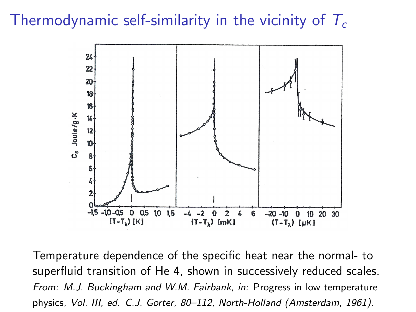## Thermodynamic self-similarity in the vicinity of  $T_c$



Temperature dependence of the specific heat near the normal- to superfluid transition of He 4, shown in successively reduced scales. From: M.J. Buckingham and W.M. Fairbank, in: Progress in low temperature physics, Vol. III, ed. C.J. Gorter, 80–112, North-Holland (Amsterdam, 1961).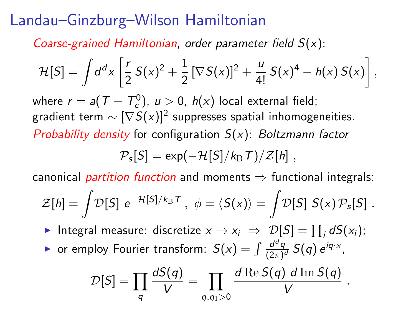# Landau–Ginzburg–Wilson Hamiltonian

Coarse-grained Hamiltonian, order parameter field  $S(x)$ :

$$
\mathcal{H}[S] = \int d^d x \left[ \frac{r}{2} S(x)^2 + \frac{1}{2} [\nabla S(x)]^2 + \frac{u}{4!} S(x)^4 - h(x) S(x) \right],
$$

where  $r =$  a(  $T - T_c^0$ ),  $u >$  0,  $h(x)$  local external field; gradient term  $\sim [\nabla S(x)]^2$  suppresses spatial inhomogeneities. Probability density for configuration  $S(x)$ : Boltzmann factor

$$
\mathcal{P}_s[S] = \exp(-\mathcal{H}[S]/k_\mathrm{B}T)/\mathcal{Z}[h] \;,
$$

canonical *partition function* and moments  $\Rightarrow$  functional integrals:

$$
\mathcal{Z}[h] = \int \! \mathcal{D}[S] \, e^{-\mathcal{H}[S]/k_{\mathrm{B}}\mathcal{T}}, \, \, \phi = \langle S(x) \rangle = \int \! \mathcal{D}[S] \, S(x) \, \mathcal{P}_s[S] \; .
$$

► Integral measure: discretize  $x \to x_i \Rightarrow \mathcal{D}[S] = \prod_i dS(x_i);$ 

<span id="page-8-0"></span>• or employ Fourier transform:  $S(x) = \int \frac{d^d q}{(2\pi)^d}$  $\frac{d^dq}{(2\pi)^d} S(q) e^{iq \cdot x}$ ,

$$
\mathcal{D}[S] = \prod_q \frac{dS(q)}{V} = \prod_{q,q_1>0} \frac{d \operatorname{Re} S(q) \ d \operatorname{Im} S(q)}{V}.
$$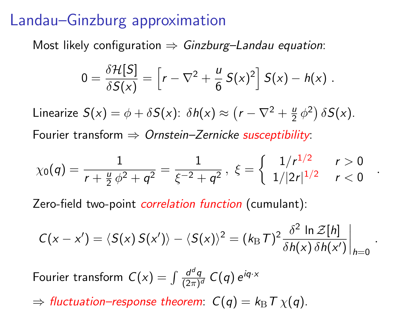## Landau–Ginzburg approximation

Most likely configuration  $\Rightarrow$  Ginzburg–Landau equation:

$$
0 = \frac{\delta \mathcal{H}[S]}{\delta S(x)} = \left[r - \nabla^2 + \frac{u}{6} S(x)^2\right] S(x) - h(x) .
$$

Linearize  $S(x) = \phi + \delta S(x)$ :  $\delta h(x) \approx (r - \nabla^2 + \frac{\mu}{2})$  $\frac{\mu}{2} \phi^2$ )  $\delta S(x)$ . Fourier transform  $\Rightarrow$  Ornstein–Zernicke susceptibility:

$$
\chi_0(q) = \frac{1}{r + \frac{u}{2}\phi^2 + q^2} = \frac{1}{\xi^{-2} + q^2}, \ \xi = \left\{ \begin{array}{cc} 1/r^{1/2} & r > 0 \\ 1/|2r|^{1/2} & r < 0 \end{array} \right.
$$

.

.

Zero-field two-point *correlation function* (cumulant):

$$
C(x - x') = \langle S(x) S(x') \rangle - \langle S(x) \rangle^{2} = (k_{\mathrm{B}} \tau)^{2} \frac{\delta^{2} \ln \mathcal{Z}[h]}{\delta h(x) \delta h(x')} \bigg|_{h=0}
$$

Fourier transform  $C(x) = \int \frac{d^d q}{(2\pi)^d}$  $\frac{d^dq}{(2\pi)^d} C(q) e^{iq \cdot x}$ 

 $\Rightarrow$  fluctuation–response theorem:  $C(q) = k_B T \chi(q)$ .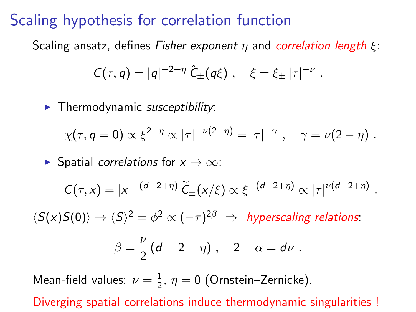#### Scaling hypothesis for correlation function

Scaling ansatz, defines Fisher exponent  $\eta$  and correlation length  $\xi$ :

$$
C(\tau, q) = |q|^{-2+\eta} \hat{C}_{\pm}(q\xi) , \quad \xi = \xi_{\pm} |\tau|^{-\nu}
$$

 $\blacktriangleright$  Thermodynamic susceptibility:

$$
\chi(\tau, q=0) \propto \xi^{2-\eta} \propto |\tau|^{-\nu(2-\eta)} = |\tau|^{-\gamma} , \quad \gamma = \nu(2-\eta) .
$$

.

.

 $\triangleright$  Spatial correlations for  $x \to \infty$ :

$$
C(\tau, x) = |x|^{-(d-2+\eta)} \widetilde{C}_{\pm}(x/\xi) \propto \xi^{-(d-2+\eta)} \propto |\tau|^{\nu(d-2+\eta)}
$$

 $\langle S(x)S(0)\rangle \rightarrow \langle S\rangle^2 = \phi^2 \propto (-\tau)^{2\beta} \Rightarrow$  hyperscaling relations:

$$
\beta = \frac{\nu}{2} (d - 2 + \eta) , \quad 2 - \alpha = d\nu .
$$

Mean-field values:  $\nu = \frac{1}{2}$  $\frac{1}{2}$ ,  $\eta = 0$  (Ornstein–Zernicke).

Diverging spatial correlations induce thermodynamic singularities !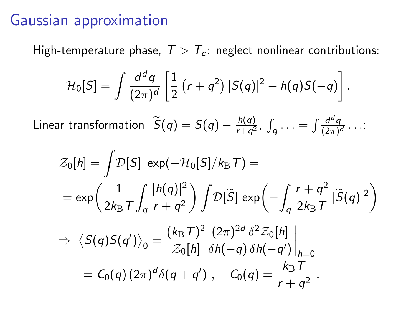### Gaussian approximation

High-temperature phase,  $T > T_c$ : neglect nonlinear contributions:

$$
\mathcal{H}_0[S] = \int \frac{d^d q}{(2\pi)^d} \left[ \frac{1}{2} (r + q^2) |S(q)|^2 - h(q)S(-q) \right].
$$

Linear transformation  $\widetilde{S}(q) = S(q) - \frac{h(q)}{r+q^2}$  $\frac{h(q)}{r+q^2}$ ,  $\int_q \ldots = \int \frac{d^dq}{(2\pi)^n}$  $\frac{a^2q}{(2\pi)^d}\ldots$ 

<span id="page-11-0"></span>
$$
\mathcal{Z}_0[h] = \int \mathcal{D}[S] \exp(-\mathcal{H}_0[S]/k_B T) =
$$
  
\n
$$
= \exp\left(\frac{1}{2k_B T}\int_q \frac{|h(q)|^2}{r+q^2}\right) \int \mathcal{D}[\tilde{S}] \exp\left(-\int_q \frac{r+q^2}{2k_B T}|\tilde{S}(q)|^2\right)
$$
  
\n
$$
\Rightarrow \langle S(q)S(q')\rangle_0 = \frac{(k_B T)^2}{\mathcal{Z}_0[h]} \frac{(2\pi)^{2d} \delta^2 \mathcal{Z}_0[h]}{\delta h(-q) \delta h(-q')}\Big|_{h=0}
$$
  
\n
$$
= C_0(q) (2\pi)^d \delta(q+q') , \quad C_0(q) = \frac{k_B T}{r+q^2} .
$$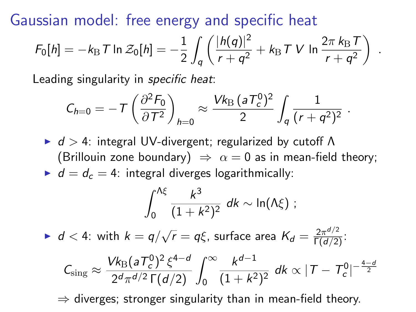Gaussian model: free energy and specific heat

$$
F_0[h] = -k_{\rm B} T \ln \mathcal{Z}_0[h] = -\frac{1}{2} \int_q \left( \frac{|h(q)|^2}{r+q^2} + k_{\rm B} T V \ln \frac{2\pi k_{\rm B} T}{r+q^2} \right) .
$$

Leading singularity in *specific heat*:

$$
C_{h=0} = -T \left( \frac{\partial^2 F_0}{\partial T^2} \right)_{h=0} \approx \frac{V k_{\rm B} (a T_c^0)^2}{2} \int_q \frac{1}{(r+q^2)^2}.
$$

 $\blacktriangleright$  d > 4: integral UV-divergent; regularized by cutoff  $\Lambda$ (Brillouin zone boundary)  $\Rightarrow \alpha = 0$  as in mean-field theory;  $d = d_c = 4$ : integral diverges logarithmically:

$$
\int_0^{\Lambda\xi}\frac{k^3}{(1+k^2)^2}\ dk \sim \ln(\Lambda\xi) ;
$$

If  $d < 4$ : with  $k = q/\sqrt{ }$  $\overline{r}=q\xi$ , surface area  $\mathcal{K}_{d}=\frac{2\pi^{d/2}}{\Gamma(d/2)}$ :

$$
C_{\text{sing}} \approx \frac{V k_{\text{B}} (a T_c^0)^2 \xi^{4-d}}{2^d \pi^{d/2} \Gamma(d/2)} \int_0^\infty \frac{k^{d-1}}{(1+k^2)^2} \ dk \propto |T - T_c^0|^{-\frac{4-d}{2}}
$$

 $\Rightarrow$  diverges; stronger singularity than in mean-field theory.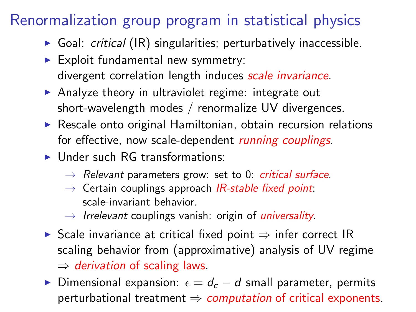# Renormalization group program in statistical physics

- $\triangleright$  Goal: *critical* (IR) singularities; perturbatively inaccessible.
- $\blacktriangleright$  Exploit fundamental new symmetry: divergent correlation length induces scale invariance.
- $\triangleright$  Analyze theory in ultraviolet regime: integrate out short-wavelength modes / renormalize UV divergences.
- $\triangleright$  Rescale onto original Hamiltonian, obtain recursion relations for effective, now scale-dependent *running couplings*.
- $\blacktriangleright$  Under such RG transformations:
	- $\rightarrow$  Relevant parameters grow: set to 0: critical surface.
	- $\rightarrow$  Certain couplings approach *IR-stable fixed point*: scale-invariant behavior.
	- $\rightarrow$  Irrelevant couplings vanish: origin of *universality*.
- $\triangleright$  Scale invariance at critical fixed point  $\Rightarrow$  infer correct IR scaling behavior from (approximative) analysis of UV regime  $\Rightarrow$  derivation of scaling laws.
- <span id="page-13-0"></span> $\triangleright$  Dimensional expansion:  $\epsilon = d_c - d$  small parameter, permits perturbational treatment  $\Rightarrow$  computation of critical exponents.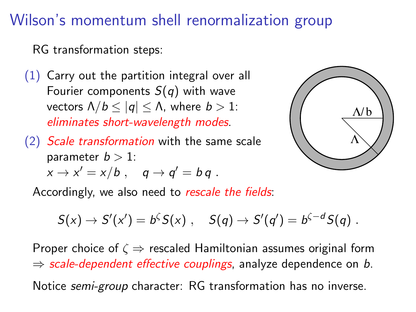# Wilson's momentum shell renormalization group

RG transformation steps:

- $(1)$  Carry out the partition integral over all Fourier components  $S(q)$  with wave vectors  $\Lambda/b \le |q| \le \Lambda$ , where  $b > 1$ : eliminates short-wavelength modes.
- (2) Scale transformation with the same scale parameter  $b > 1$ :  $x \rightarrow x' = x/b$  ,  $q \rightarrow q' = b q$  .



Accordingly, we also need to rescale the fields:

$$
S(x) \to S'(x') = b^{\zeta} S(x) , \quad S(q) \to S'(q') = b^{\zeta-d} S(q) .
$$

Proper choice of  $\zeta \Rightarrow$  rescaled Hamiltonian assumes original form  $\Rightarrow$  scale-dependent effective couplings, analyze dependence on b.

Notice semi-group character: RG transformation has no inverse.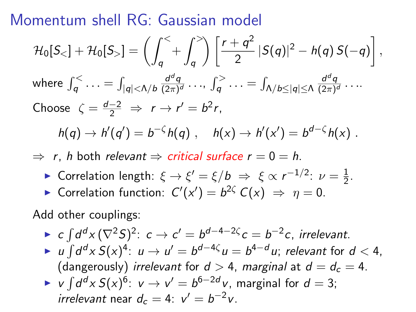Momentum shell RG: Gaussian model

$$
\mathcal{H}_0[S_<] + \mathcal{H}_0[S_>] = \left(\int_q^{\le} + \int_q^{\ge} \right) \left[\frac{r+q^2}{2} |S(q)|^2 - h(q) S(-q)\right],
$$
  
\nwhere  $\int_q^{\le} \dots = \int_{|q| < \Lambda/b} \frac{d^dq}{(2\pi)^d} \dots, \int_q^{\ge} \dots = \int_{\Lambda/b \le |q| \le \Lambda} \frac{d^dq}{(2\pi)^d} \dots$   
\nChoose  $\zeta = \frac{d-2}{2} \Rightarrow r \to r' = b^2r$ ,  
\n $h(q) \to h'(q') = b^{-\zeta}h(q)$ ,  $h(x) \to h'(x') = b^{d-\zeta}h(x)$ .

 $\Rightarrow$  r, h both relevant  $\Rightarrow$  critical surface  $r = 0 = h$ .

- ► Correlation length:  $\xi \rightarrow \xi' = \xi/b \Rightarrow \xi \propto r^{-1/2}$ :  $\nu = \frac{1}{2}$  $rac{1}{2}$ .
- ► Correlation function:  $C'(x') = b^{2\zeta} C(x) \Rightarrow \eta = 0$ .

Add other couplings:

- ► c  $\int d^d x \, (\nabla^2 S)^2$ :  $c \to c' = b^{d-4-2\zeta} c = b^{-2}c$ , irrelevant.
- ► u  $\int d^dx S(x)^4$ :  $u \to u' = b^{d-4\zeta} u = b^{4-d}u$ ; relevant for  $d < 4$ , (dangerously) irrelevant for  $d > 4$ , marginal at  $d = d_c = 4$ .
- ► v  $\int d^d x S(x)^6$ :  $v \to v' = b^{6-2d}v$ , marginal for  $d = 3$ ; irrelevant near  $d_c = 4$ :  $v' = b^{-2}v$ .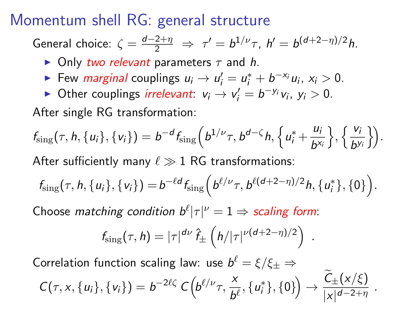## Momentum shell RG: general structure

General choice:  $\zeta = \frac{d-2+\eta}{2} \Rightarrow \tau' = b^{1/\nu}\tau$ ,  $h' = b^{(d+2-\eta)/2}h$ .

- $\triangleright$  Only two relevant parameters  $\tau$  and h.
- Few *marginal* couplings  $u_i \rightarrow u'_i = u_i^* + b^{-x_i} u_i$ ,  $x_i > 0$ .
- ► Other couplings *irrelevant*:  $v_i \rightarrow v'_i = b^{-y_i}v_i$ ,  $y_i > 0$ .

After single RG transformation:

$$
f_{\text{sing}}(\tau, h, \{u_i\}, \{v_i\}) = b^{-d} f_{\text{sing}}(b^{1/\nu} \tau, b^{d-\zeta} h, \{u_i^* + \frac{u_i}{b^{x_i}}\}, \{\frac{v_i}{b^{y_i}}\}).
$$

After sufficiently many  $\ell \gg 1$  RG transformations:

$$
f_{\text{sing}}(\tau, h, \{u_i\}, \{v_i\}) = b^{-\ell d} f_{\text{sing}}\left(b^{\ell/\nu} \tau, b^{\ell(d+2-\eta)/2} h, \{u_i^*\}, \{0\}\right).
$$

Choose matching condition  $b^{\ell}|\tau|^{\nu} = 1 \Rightarrow$  scaling form:

$$
f_{\text{sing}}(\tau, h) = |\tau|^{d\nu} \hat{f}_{\pm} \left( h/|\tau|^{\nu(d+2-\eta)/2} \right)
$$

.

Correlation function scaling law: use  $b^\ell = \xi/\xi_\pm \Rightarrow$ 

$$
C(\tau, x, \{u_i\}, \{v_i\}) = b^{-2\ell\zeta} C\Big(b^{\ell/\nu}\tau, \frac{x}{b^{\ell}}, \{u_i^*\}, \{0\}\Big) \to \frac{C_{\pm}(x/\xi)}{|x|^{d-2+\eta}}.
$$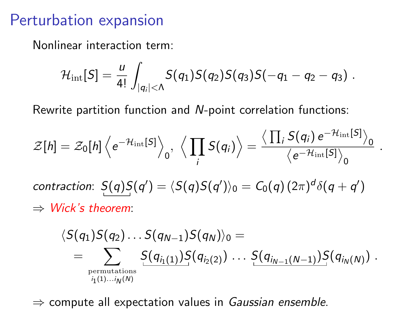## Perturbation expansion

Nonlinear interaction term:

$$
\mathcal{H}_{\rm int}[S] = \frac{u}{4!} \int_{|q_i| < \Lambda} S(q_1) S(q_2) S(q_3) S(-q_1 - q_2 - q_3) .
$$

Rewrite partition function and N-point correlation functions:

$$
\mathcal{Z}[h] = \mathcal{Z}_0[h] \left\langle e^{-\mathcal{H}_{\rm int}[S]} \right\rangle_0, \ \left\langle \prod_i S(q_i) \right\rangle = \frac{\left\langle \prod_i S(q_i) e^{-\mathcal{H}_{\rm int}[S]} \right\rangle_0}{\left\langle e^{-\mathcal{H}_{\rm int}[S]} \right\rangle_0}
$$

.

contraction:  $S(q)S(q')=\langle S(q)S(q')\rangle_0=\mathcal{C}_0(q)(2\pi)^d\delta(q+q')$  $\Rightarrow$  Wick's theorem:

$$
\langle S(q_1)S(q_2)\dots S(q_{N-1})S(q_N)\rangle_0 = \\ = \sum_{\substack{\text{permutations} \\ i_1(1)\dots i_N(N)}} \frac{S(q_{i_1(1)})S(q_{i_2(2)})\dots S(q_{i_{N-1}(N-1)})S(q_{i_N(N)})}{\sum_{\substack{\text{permutations} \\ i_1(1)\dots i_N(N)}}}.
$$

<span id="page-17-0"></span> $\Rightarrow$  compute all expectation values in Gaussian ensemble.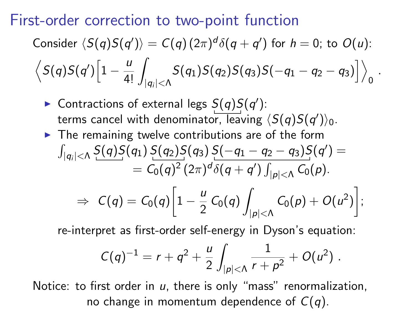#### First-order correction to two-point function

Consider 
$$
\langle S(q)S(q')\rangle = C(q)(2\pi)^d \delta(q+q')
$$
 for  $h = 0$ ; to  $O(u)$ :  
 $\langle S(q)S(q')\Big[1-\frac{u}{4!}\int_{|q_i|<\Lambda}S(q_1)S(q_2)S(q_3)S(-q_1-q_2-q_3)\Big]\rangle_0$ .

- ▶ Contractions of external legs  $S(q)S(q')$ : terms cancel with denominator, leaving  $\langle S(q) S(q') \rangle_0.$
- $\blacktriangleright$  The remaining twelve contributions are of the form  $\int_{|q_i| < \Lambda} \frac{S(q)S(q_1)S(q_2)S(q_3)S(-q_1-q_2-q_3)S(q')}{q_1-q_2-q_3}$  $= C_0(q)^2\,(2\pi)^d\delta(q+q')\int_{|p|<\Lambda} C_0(p).$  $\Rightarrow C(q) = C_0(q) \left[1 - \frac{u}{2}\right]$  $\frac{u}{2} C_0(q)$  $|p|<\Lambda$  $C_0(p) + O(u^2)$ ;

re-interpret as first-order self-energy in Dyson's equation:

$$
C(q)^{-1} = r + q^2 + \frac{u}{2} \int_{|p| < \Lambda} \frac{1}{r + p^2} + O(u^2) .
$$

Notice: to first order in  $u$ , there is only "mass" renormalization, no change in momentum dependence of  $C(q)$ .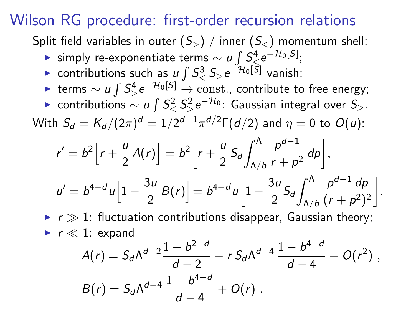## Wilson RG procedure: first-order recursion relations

Split field variables in outer  $(S_{>} )$  / inner  $(S_{<})$  momentum shell:

- ► simply re-exponentiate terms  $\sim u \int S_{\leqslant}^4 e^{-\mathcal{H}_0[S]}$ ;
- ► contributions such as  $u \int S^3 <sub>0</sub> S<sub>></sub> e^{-\mathcal{H}_0[S]}$  vanish;
- ► terms  $\sim u \int S_{>}^4 e^{-\mathcal{H}_0[S]} \rightarrow \text{const.}$ , contribute to free energy;
- ► contributions  $\sim$  u  $\int S_<^2 S_>^2 e^{-{\cal H}_0}$ : Gaussian integral over  $S_>$ .

With  $S_d=K_d/(2\pi)^d=1/2^{d-1}\pi^{d/2}\Gamma(d/2)$  and  $\eta=0$  to  $O(u)$ :

$$
r' = b^2 \left[ r + \frac{u}{2} A(r) \right] = b^2 \left[ r + \frac{u}{2} S_d \int_{\Lambda/b}^{\Lambda} \frac{p^{d-1}}{r + p^2} dp \right],
$$
  

$$
u' = b^{4-d} u \left[ 1 - \frac{3u}{2} B(r) \right] = b^{4-d} u \left[ 1 - \frac{3u}{2} S_d \int_{\Lambda/b}^{\Lambda} \frac{p^{d-1} dp}{(r + p^2)^2} \right].
$$

 $\triangleright$   $r \gg 1$ : fluctuation contributions disappear, Gaussian theory;  $\blacktriangleright$  r  $\ll$  1: expand

$$
A(r) = S_d \Lambda^{d-2} \frac{1 - b^{2-d}}{d-2} - r S_d \Lambda^{d-4} \frac{1 - b^{4-d}}{d-4} + O(r^2) ,
$$
  
\n
$$
B(r) = S_d \Lambda^{d-4} \frac{1 - b^{4-d}}{d-4} + O(r) .
$$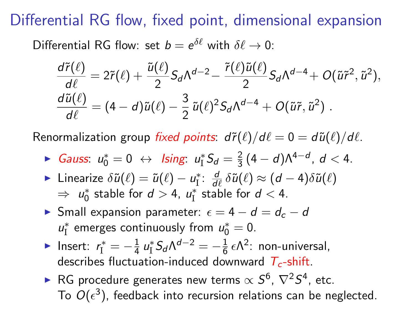## Differential RG flow, fixed point, dimensional expansion

Differential RG flow: set  $b = e^{\delta \ell}$  with  $\delta \ell \to 0$ :

$$
\frac{d\tilde{r}(\ell)}{d\ell} = 2\tilde{r}(\ell) + \frac{\tilde{u}(\ell)}{2}S_d\Lambda^{d-2} - \frac{\tilde{r}(\ell)\tilde{u}(\ell)}{2}S_d\Lambda^{d-4} + O(\tilde{u}\tilde{r}^2, \tilde{u}^2),
$$
  

$$
\frac{d\tilde{u}(\ell)}{d\ell} = (4-d)\tilde{u}(\ell) - \frac{3}{2}\tilde{u}(\ell)^2S_d\Lambda^{d-4} + O(\tilde{u}\tilde{r}, \tilde{u}^2).
$$

Renormalization group fixed points:  $d\tilde{r}(\ell)/d\ell = 0 = d\tilde{u}(\ell)/d\ell$ .

- ► Gauss:  $u_0^* = 0 \leftrightarrow$  Ising:  $u_1^* S_d = \frac{2}{3}$  $\frac{2}{3}(4-d)\Lambda^{4-d}$ ,  $d < 4$ .
- ► Linearize  $\delta \tilde{u}(\ell) = \tilde{u}(\ell) u_{\rm I}^*$ :  $\frac{d}{d\ell}$  $\frac{d}{d\ell}\,\delta \tilde u(\ell)\approx (d-4)\delta \tilde u(\ell)$  $\Rightarrow u_0^*$  stable for  $d > 4$ ,  $u_1^*$  stable for  $d < 4$ .
- $\triangleright$  Small expansion parameter:  $\epsilon = 4 d = d_c d$  $u_{\rm I}^*$  emerges continuously from  $u_{\rm O}^*=0.$
- ► Insert:  $r_{\rm I}^* = -\frac{1}{4}$  $\frac{1}{4} u_{\rm I}^* S_d \Lambda^{d-2} = -\frac{1}{6}$  $\frac{1}{6}$   $\epsilon \Lambda^2$ : non-universal, describes fluctuation-induced downward  $T_c$ -shift.
- ► RG procedure generates new terms  $\propto S^6, \, \nabla^2 S^4,$  etc. To  $O(\epsilon^3)$ , feedback into recursion relations can be neglected.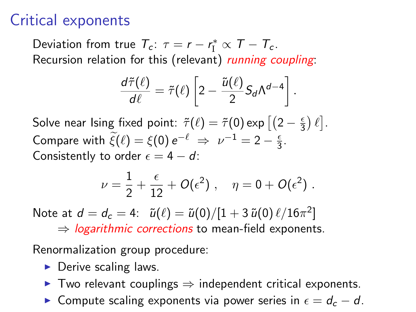# Critical exponents

Deviation from true  $T_c$ :  $\tau = r - r_1^* \propto T - T_c$ . Recursion relation for this (relevant) running coupling:

$$
\frac{d\tilde{\tau}(\ell)}{d\ell} = \tilde{\tau}(\ell) \left[ 2 - \frac{\tilde{u}(\ell)}{2} S_d \Lambda^{d-4} \right]
$$

.

Solve near Ising fixed point:  $\tilde{\tau}(\ell) = \tilde{\tau} (0) \exp \left[ \left( 2 - \frac{\epsilon}{3} \right) \right]$  $\frac{\epsilon}{3}$ )  $\ell$ ]. Compare with  $\xi(\ell) = \xi(0) e^{-\ell} \Rightarrow \nu^{-1} = 2 - \frac{\epsilon}{3}$  $\frac{\epsilon}{3}$ . Consistently to order  $\epsilon = 4 - d$ :

$$
\nu=\frac{1}{2}+\frac{\epsilon}{12}+O(\epsilon^2)\;,\quad \eta=0+O(\epsilon^2)\;.
$$

Note at  $d=d_c=4: \;\; \tilde u(\ell)=\tilde u(0)/[1+3\,\tilde u(0)\,\ell/16\pi^2]$ 

 $\Rightarrow$  logarithmic corrections to mean-field exponents.

Renormalization group procedure:

- $\triangleright$  Derive scaling laws.
- $\triangleright$  Two relevant couplings  $\Rightarrow$  independent critical exponents.
- $\triangleright$  Compute scaling exponents via power series in  $\epsilon = d_c d$ .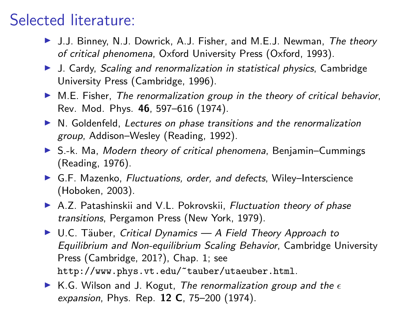# Selected literature:

- ▶ J.J. Binney, N.J. Dowrick, A.J. Fisher, and M.E.J. Newman, The theory of critical phenomena, Oxford University Press (Oxford, 1993).
- ▶ J. Cardy, Scaling and renormalization in statistical physics, Cambridge University Press (Cambridge, 1996).
- $\triangleright$  M.E. Fisher, The renormalization group in the theory of critical behavior, Rev. Mod. Phys. 46, 597–616 (1974).
- $\triangleright$  N. Goldenfeld, Lectures on phase transitions and the renormalization group, Addison–Wesley (Reading, 1992).
- $\triangleright$  S.-k. Ma, *Modern theory of critical phenomena*, Benjamin–Cummings (Reading, 1976).
- ▶ G.F. Mazenko, Fluctuations, order, and defects, Wiley-Interscience (Hoboken, 2003).
- A.Z. Patashinskii and V.L. Pokrovskii, Fluctuation theory of phase transitions, Pergamon Press (New York, 1979).
- $\triangleright$  U.C. Täuber, Critical Dynamics A Field Theory Approach to Equilibrium and Non-equilibrium Scaling Behavior, Cambridge University Press (Cambridge, 201?), Chap. 1; see http://www.phys.vt.edu/~tauber/utaeuber.html.
- <span id="page-22-0"></span> $\triangleright$  K.G. Wilson and J. Kogut, The renormalization group and the  $\epsilon$ expansion, Phys. Rep. 12 C, 75-200 (1974).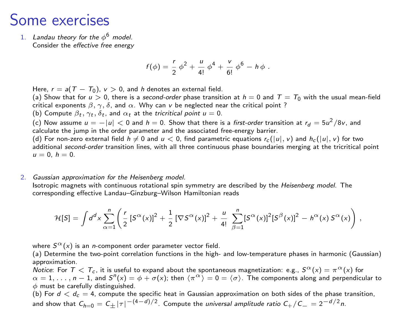#### Some exercises

1. Landau theory for the  $\phi^6$  model. Consider the effective free energy

$$
f(\phi) = \frac{r}{2} \phi^2 + \frac{u}{4!} \phi^4 + \frac{v}{6!} \phi^6 - h \phi.
$$

Here,  $r = a(T - T_0)$ ,  $v > 0$ , and h denotes an external field.

(a) Show that for  $u > 0$ , there is a second-order phase transition at  $h = 0$  and  $T = T_0$  with the usual mean-field critical exponents  $\beta$ ,  $\gamma$ ,  $\delta$ , and  $\alpha$ . Why can v be neglected near the critical point ?

(b) Compute  $\beta_t$ ,  $\gamma_t$ ,  $\delta_t$ , and  $\alpha_t$  at the tricritical point  $u = 0$ .

(c) Now assume  $u = -|u| < 0$  and  $h = 0$ . Show that there is a *first-order* transition at  $r_d = 5u^2/8v$ , and calculate the jump in the order parameter and the associated free-energy barrier.

(d) For non-zero external field  $h \neq 0$  and  $u < 0$ , find parametric equations  $r_c(|u|, v)$  and  $h_c(|u|, v)$  for two additional second-order transition lines, with all three continuous phase boundaries merging at the tricritical point  $u = 0, h = 0.$ 

2. Gaussian approximation for the Heisenberg model. Isotropic magnets with continuous rotational spin symmetry are described by the Heisenberg model. The corresponding effective Landau–Ginzburg–Wilson Hamiltonian reads

$$
\mathcal{H}[S] = \int d^dx \sum_{\alpha=1}^n \left( \frac{r}{2} \left[ S^\alpha(x) \right]^2 + \frac{1}{2} \left[ \nabla S^\alpha(x) \right]^2 + \frac{u}{4!} \sum_{\beta=1}^n \left[ S^\alpha(x) \right]^2 \left[ S^\beta(x) \right]^2 - h^\alpha(x) S^\alpha(x) \right) \,,
$$

where  $S^{\alpha}(x)$  is an *n*-component order parameter vector field.

(a) Determine the two-point correlation functions in the high- and low-temperature phases in harmonic (Gaussian) approximation.

Notice: For  $T < T_c$ , it is useful to expand about the spontaneous magnetization: e.g.,  $S^{\alpha}(x) = \pi^{\alpha}(x)$  for  $\alpha = 1, \ldots, n-1$ , and  $S^{n}(x) = \phi + \sigma(x)$ ; then  $\langle \pi^{\alpha} \rangle = 0 = \langle \sigma \rangle$ . The components along and perpendicular to  $\phi$  must be carefully distinguished.

(b) For  $d < d_c = 4$ , compute the specific heat in Gaussian approximation on both sides of the phase transition, and show that  $\mathcal{C}_{h=0}=\mathcal{C}_\pm|\tau|^{-(4-d)/2}.$  Compute the *universal amplitude ratio*  $\mathcal{C}_+/\mathcal{C}_-=2^{-d/2}$ *n*.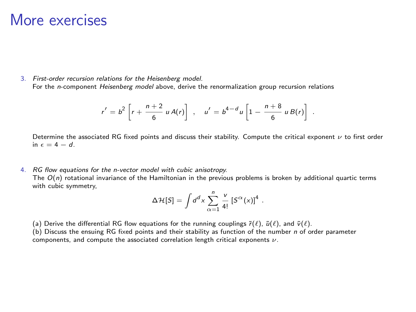## More exercises

3. First-order recursion relations for the Heisenberg model. For the n-component Heisenberg model above, derive the renormalization group recursion relations

$$
r' = b^2 \left[ r + \frac{n+2}{6} u A(r) \right] , \quad u' = b^{4-d} u \left[ 1 - \frac{n+8}{6} u B(r) \right] .
$$

Determine the associated RG fixed points and discuss their stability. Compute the critical exponent  $\nu$  to first order in  $\epsilon = 4 - d$ .

4. RG flow equations for the n-vector model with cubic anisotropy.

The  $O(n)$  rotational invariance of the Hamiltonian in the previous problems is broken by additional quartic terms with cubic symmetry,

$$
\Delta \mathcal{H}[S] = \int d^d x \sum_{\alpha=1}^n \frac{v}{4!} [S^{\alpha}(x)]^4.
$$

(a) Derive the differential RG flow equations for the running couplings  $\tilde{r}(\ell)$ ,  $\tilde{u}(\ell)$ , and  $\tilde{v}(\ell)$ .

(b) Discuss the ensuing RG fixed points and their stability as function of the number n of order parameter components, and compute the associated correlation length critical exponents  $\nu$ .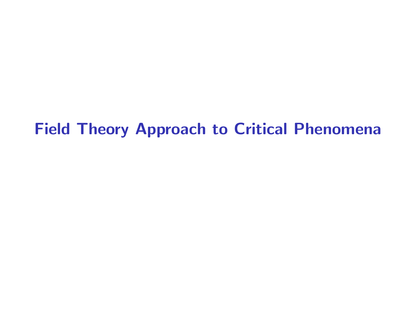# <span id="page-25-0"></span>[Field Theory Approach to Critical Phenomena](#page-25-0)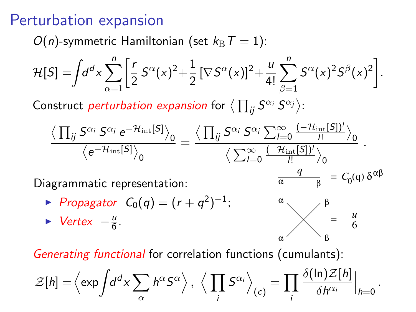# Perturbation expansion

 $O(n)$ -symmetric Hamiltonian (set  $k_{\text{B}}T = 1$ ):

$$
\mathcal{H}[S] = \int d^d x \sum_{\alpha=1}^n \left[ \frac{r}{2} S^{\alpha}(x)^2 + \frac{1}{2} \left[ \nabla S^{\alpha}(x) \right]^2 + \frac{u}{4!} \sum_{\beta=1}^n S^{\alpha}(x)^2 S^{\beta}(x)^2 \right].
$$

Construct *perturbation expansion* for  $\langle \prod_{ij} S^{\alpha_i} S^{\alpha_j} \rangle$ :

$$
\frac{\big\langle \prod_{ij} S^{\alpha_i} \, S^{\alpha_j} \, e^{-\mathcal{H}_{\rm int}[S]} \big\rangle_0}{\big\langle e^{-\mathcal{H}_{\rm int}[S]} \big\rangle_0} = \frac{\big\langle \prod_{ij} S^{\alpha_i} \, S^{\alpha_j} \sum_{l=0}^{\infty} \frac{(-\mathcal{H}_{\rm int}[S])^l}{l!} \big\rangle_0}{\big\langle \sum_{l=0}^{\infty} \frac{(-\mathcal{H}_{\rm int}[S])^l}{l!} \big\rangle_0} \; .
$$

Diagrammatic representation:

► Propagator  $C_0(q) = (r + q^2)^{-1}$ ;

$$
\blacktriangleright \text{Vertex } -\frac{u}{6}.
$$



*q*

α

Generating functional for correlation functions (cumulants):

<span id="page-26-0"></span>
$$
\mathcal{Z}[h] = \left\langle \exp \int d^d x \sum_{\alpha} h^{\alpha} S^{\alpha} \right\rangle, \ \left\langle \prod_i S^{\alpha_i} \right\rangle_{(c)} = \prod_i \frac{\delta(\ln) \mathcal{Z}[h]}{\delta h^{\alpha_i}} \Big|_{h=0}.
$$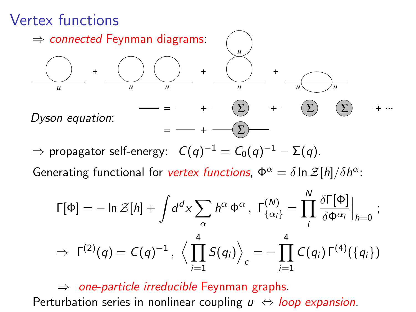# Vertex functions



 $\Rightarrow$  propagator self-energy:  $\;\;{\cal C}(q)^{-1}={\cal C}_0(q)^{-1}-\Sigma(q).$ 

Generating functional for vertex functions,  $\Phi^{\alpha} = \delta \ln \mathcal{Z}[h]/\delta h^{\alpha}$ :

$$
\Gamma[\Phi] = -\ln \mathcal{Z}[h] + \int d^d x \sum_{\alpha} h^{\alpha} \Phi^{\alpha}, \ \Gamma_{\{\alpha_i\}}^{(N)} = \prod_{i}^{N} \frac{\delta \Gamma[\Phi]}{\delta \Phi^{\alpha_i}}\Big|_{h=0} ;
$$
  

$$
\Rightarrow \ \Gamma^{(2)}(q) = C(q)^{-1}, \ \Big\langle \prod_{i=1}^{4} S(q_i) \Big\rangle_c = - \prod_{i=1}^{4} C(q_i) \Gamma^{(4)}(\{q_i\})
$$

 $\Rightarrow$  one-particle irreducible Feynman graphs. Perturbation series in nonlinear coupling  $u \Leftrightarrow$  loop expansion.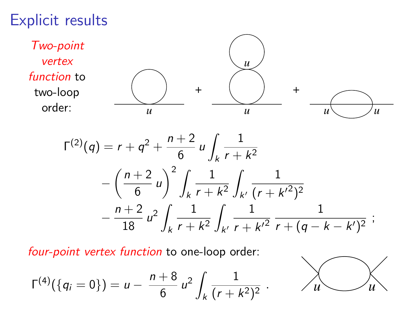## Explicit results



four-point vertex function to one-loop order:

$$
\Gamma^{(4)}(\lbrace q_i=0\rbrace)=u-\frac{n+8}{6}u^2\int_k\frac{1}{(r+k^2)^2}.
$$

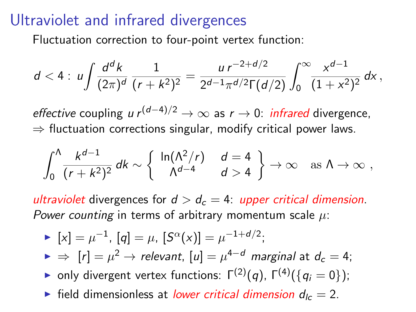## Ultraviolet and infrared divergences

Fluctuation correction to four-point vertex function:

$$
d<4: u\int \frac{d^dk}{(2\pi)^d}\frac{1}{(r+k^2)^2}=\frac{u\,r^{-2+d/2}}{2^{d-1}\pi^{d/2}\Gamma(d/2)}\int_0^\infty \frac{x^{d-1}}{(1+x^2)^2}\,dx\,,
$$

effective coupling u  $r^{(d-4)/2} \to \infty$  as  $r \to 0$ : infrared divergence,  $\Rightarrow$  fluctuation corrections singular, modify critical power laws.

$$
\int_0^{\Lambda} \frac{k^{d-1}}{(r+k^2)^2} dk \sim \left\{ \begin{array}{cc} \ln(\Lambda^2/r) & d=4 \\ \Lambda^{d-4} & d>4 \end{array} \right\} \to \infty \text{ as } \Lambda \to \infty ,
$$

ultraviolet divergences for  $d > d_c = 4$ : upper critical dimension. Power counting in terms of arbitrary momentum scale  $\mu$ :

<span id="page-29-0"></span>\n- \n
$$
[x] = \mu^{-1}
$$
, \n  $[q] = \mu$ , \n  $[S^{\alpha}(x)] = \mu^{-1+d/2}$ ;\n
\n- \n $\Rightarrow [r] = \mu^2 \rightarrow \text{relevant}$ , \n  $[u] = \mu^{4-d} \text{ marginal at } d_c = 4$ ;\n
\n- \n $\bullet$  only divergent vertex functions: \n  $\Gamma^{(2)}(q)$ , \n  $\Gamma^{(4)}(\{q_i = 0\})$ ;\n
\n- \n $\bullet$  field dimensionless at lower critical dimension  $d_{lc} = 2$ .\n
\n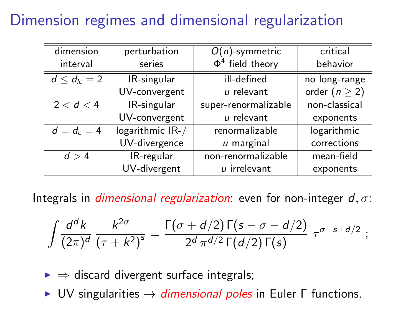# Dimension regimes and dimensional regularization

| dimension           | perturbation     | $O(n)$ -symmetric     | critical           |
|---------------------|------------------|-----------------------|--------------------|
| interval            | series           | $\Phi^4$ field theory | behavior           |
| $d \leq d_{lc} = 2$ | IR-singular      | ill-defined           | no long-range      |
|                     | UV-convergent    | $u$ relevant          | order $(n \geq 2)$ |
| 2 < d < 4           | IR-singular      | super-renormalizable  | non-classical      |
|                     | UV-convergent    | $u$ relevant          | exponents          |
| $d = d_c = 4$       | logarithmic IR-/ | renormalizable        | logarithmic        |
|                     | UV-divergence    | $u$ marginal          | corrections        |
| d > 4               | IR-regular       | non-renormalizable    | mean-field         |
|                     | UV-divergent     | $u$ irrelevant        | exponents          |

Integrals in *dimensional regularization*: even for non-integer  $d, \sigma$ :

$$
\int \frac{d^dk}{(2\pi)^d} \frac{k^{2\sigma}}{(\tau+k^2)^s} = \frac{\Gamma(\sigma+d/2)\Gamma(s-\sigma-d/2)}{2^d \pi^{d/2}\Gamma(d/2)\Gamma(s)} \tau^{\sigma-s+d/2} ;
$$

 $\triangleright \Rightarrow$  discard divergent surface integrals;

 $\triangleright$  UV singularities  $\rightarrow$  dimensional poles in Euler Γ functions.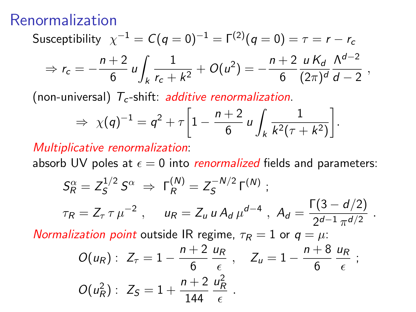#### Renormalization

Susceptibility 
$$
\chi^{-1} = C(q = 0)^{-1} = \Gamma^{(2)}(q = 0) = \tau = r - r_c
$$
  
\n⇒  $r_c = -\frac{n+2}{6} u \int_k \frac{1}{r_c + k^2} + O(u^2) = -\frac{n+2}{6} \frac{u K_d}{(2\pi)^d} \frac{\Lambda^{d-2}}{d-2}$ ,

(non-universal)  $T_c$ -shift: *additive renormalization*.

$$
\Rightarrow \ \chi(q)^{-1} = q^2 + \tau \left[ 1 - \frac{n+2}{6} \, u \int_k \frac{1}{k^2(\tau + k^2)} \right].
$$

Multiplicative renormalization:

absorb UV poles at  $\epsilon = 0$  into *renormalized* fields and parameters:

$$
S_R^{\alpha} = Z_S^{1/2} S^{\alpha} \Rightarrow \Gamma_R^{(N)} = Z_S^{-N/2} \Gamma^{(N)} ;
$$
  

$$
\tau_R = Z_\tau \tau \mu^{-2} , \quad u_R = Z_u u A_d \mu^{d-4} , A_d = \frac{\Gamma(3 - d/2)}{2^{d-1} \pi^{d/2}} .
$$

Normalization point outside IR regime,  $\tau_R = 1$  or  $q = \mu$ .

$$
O(u_R): Z_{\tau} = 1 - \frac{n+2}{6} \frac{u_R}{\epsilon} , \quad Z_u = 1 - \frac{n+8}{6} \frac{u_R}{\epsilon} ;
$$
  

$$
O(u_R^2): Z_S = 1 + \frac{n+2}{144} \frac{u_R^2}{\epsilon} .
$$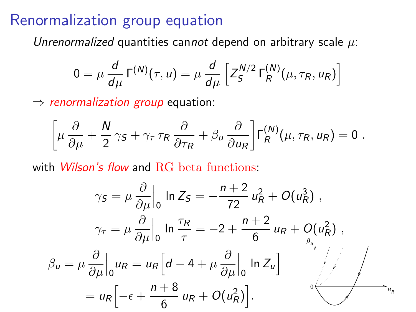#### Renormalization group equation

Unrenormalized quantities cannot depend on arbitrary scale  $\mu$ :

$$
0 = \mu \frac{d}{d\mu} \Gamma^{(N)}(\tau, u) = \mu \frac{d}{d\mu} \left[ Z_S^{N/2} \Gamma_R^{(N)}(\mu, \tau_R, u_R) \right]
$$

 $\Rightarrow$  renormalization group equation:

$$
\left[\mu \frac{\partial}{\partial \mu} + \frac{N}{2} \gamma_S + \gamma_\tau \tau_R \frac{\partial}{\partial \tau_R} + \beta_u \frac{\partial}{\partial u_R}\right] \Gamma_R^{(N)}(\mu, \tau_R, u_R) = 0.
$$

with *Wilson's flow* and RG beta functions:

<span id="page-32-0"></span>
$$
\gamma_S = \mu \frac{\partial}{\partial \mu} \Big|_0 \ln Z_S = -\frac{n+2}{72} u_R^2 + O(u_R^3) ,
$$
  

$$
\gamma_\tau = \mu \frac{\partial}{\partial \mu} \Big|_0 \ln \frac{\tau_R}{\tau} = -2 + \frac{n+2}{6} u_R + O(u_R^2) ,
$$
  

$$
\beta_u = \mu \frac{\partial}{\partial \mu} \Big|_0 u_R = u_R \Big[ d - 4 + \mu \frac{\partial}{\partial \mu} \Big|_0 \ln Z_u \Big]
$$
  

$$
= u_R \Big[ -\epsilon + \frac{n+8}{6} u_R + O(u_R^2) \Big].
$$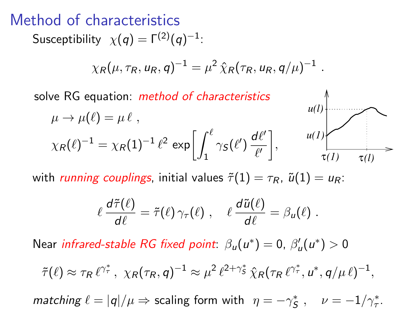#### Method of characteristics

 $\mathsf{S}$ usceptibility  $\chi(q)=\mathsf{\Gamma}^{(2)}(q)^{-1}$ :

$$
\chi_R(\mu, \tau_R, u_R, q)^{-1} = \mu^2 \, \hat{\chi}_R(\tau_R, u_R, q/\mu)^{-1} \; .
$$

solve RG equation: *method of characteristics* 

$$
\mu \to \mu(\ell) = \mu \ell ,
$$
\n
$$
\chi_R(\ell)^{-1} = \chi_R(1)^{-1} \ell^2 \exp\left[\int_1^{\ell} \gamma_S(\ell') \frac{d\ell'}{\ell'}\right],
$$
\n
$$
u(l)
$$
\n
$$
\tau(l)
$$

 $\mathbb{A}$ 

with running couplings, initial values  $\tilde{\tau}(1) = \tau_R$ ,  $\tilde{u}(1) = u_R$ :

$$
\ell \, \frac{d\tilde{\tau}(\ell)}{d\ell} = \tilde{\tau}(\ell) \, \gamma_{\tau}(\ell) \;, \quad \ell \, \frac{d\tilde{u}(\ell)}{d\ell} = \beta_u(\ell) \; .
$$

Near infrared-stable RG fixed point:  $\beta_u(u^*) = 0$ ,  $\beta'_u(u^*) > 0$ 

$$
\tilde{\tau}(\ell) \approx \tau_R \ell^{\gamma^*}, \ \chi_R(\tau_R, q)^{-1} \approx \mu^2 \ell^{2+\gamma^*}, \hat{\chi}_R(\tau_R \ell^{\gamma^*}, u^*, q/\mu \ell)^{-1},
$$

matching  $\ell = |q|/\mu \Rightarrow$  scaling form with  $\eta = -\gamma_S^*$ ,  $\nu = -1/\gamma_\tau^*$ .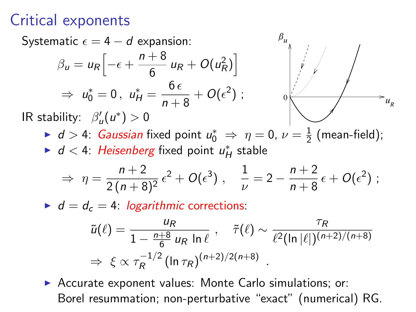# Critical exponents



 $\bullet$  d = d<sub>c</sub> = 4: logarithmic corrections:

$$
\tilde{u}(\ell) = \frac{u_R}{1 - \frac{n+8}{6} u_R \ln \ell} , \quad \tilde{\tau}(\ell) \sim \frac{\tau_R}{\ell^2 (\ln |\ell|)^{(n+2)/(n+8)}}
$$
  
\n
$$
\Rightarrow \xi \propto \tau_R^{-1/2} (\ln \tau_R)^{(n+2)/2(n+8)} .
$$

▶ Accurate exponent values: Monte Carlo simulations; or: Borel resummation; non-perturbative "exact" (numerical) RG.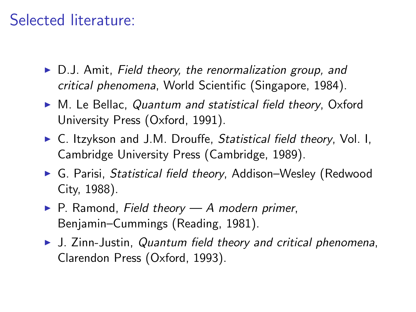# Selected literature:

- $\triangleright$  D.J. Amit, Field theory, the renormalization group, and critical phenomena, World Scientific (Singapore, 1984).
- $\triangleright$  M. Le Bellac, Quantum and statistical field theory, Oxford University Press (Oxford, 1991).
- $\triangleright$  C. Itzykson and J.M. Drouffe, Statistical field theory, Vol. I, Cambridge University Press (Cambridge, 1989).
- ► G. Parisi, *Statistical field theory*, Addison–Wesley (Redwood City, 1988).
- $\blacktriangleright$  P. Ramond, Field theory A modern primer, Benjamin–Cummings (Reading, 1981).
- <span id="page-35-0"></span> $\triangleright$  J. Zinn-Justin, Quantum field theory and critical phenomena, Clarendon Press (Oxford, 1993).